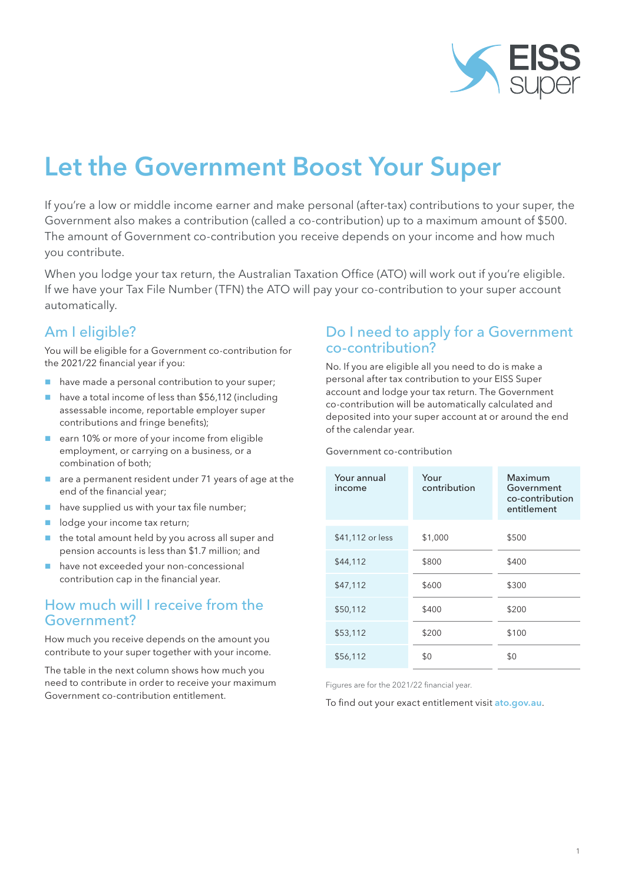

# Let the Government Boost Your Super

If you're a low or middle income earner and make personal (after-tax) contributions to your super, the Government also makes a contribution (called a co-contribution) up to a maximum amount of \$500. The amount of Government co-contribution you receive depends on your income and how much you contribute.

When you lodge your tax return, the Australian Taxation Office (ATO) will work out if you're eligible. If we have your Tax File Number (TFN) the ATO will pay your co-contribution to your super account automatically.

## Am I eligible?

You will be eligible for a Government co-contribution for the 2021/22 financial year if you:

- have made a personal contribution to your super;
- have a total income of less than \$56,112 (including assessable income, reportable employer super contributions and fringe benefits);
- earn 10% or more of your income from eligible employment, or carrying on a business, or a combination of both;
- are a permanent resident under 71 years of age at the end of the financial year;
- have supplied us with your tax file number;
- odge your income tax return;
- $\blacksquare$  the total amount held by you across all super and pension accounts is less than \$1.7 million; and
- have not exceeded your non-concessional contribution cap in the financial year.

## How much will I receive from the Government?

How much you receive depends on the amount you contribute to your super together with your income.

The table in the next column shows how much you need to contribute in order to receive your maximum Government co-contribution entitlement.

## Do I need to apply for a Government co-contribution?

No. If you are eligible all you need to do is make a personal after tax contribution to your EISS Super account and lodge your tax return. The Government co-contribution will be automatically calculated and deposited into your super account at or around the end of the calendar year.

#### Government co-contribution

| Your annual<br>income | Your<br>contribution | Maximum<br>Government<br>co-contribution<br>entitlement |
|-----------------------|----------------------|---------------------------------------------------------|
| \$41,112 or less      | \$1,000              | \$500                                                   |
| \$44,112              | \$800                | \$400                                                   |
| \$47,112              | \$600                | \$300                                                   |
| \$50,112              | \$400                | \$200                                                   |
| \$53,112              | \$200                | \$100                                                   |
| \$56,112              | \$0                  | \$0                                                     |

Figures are for the 2021/22 financial year.

To find out your exact entitlement visit ato.gov.au.